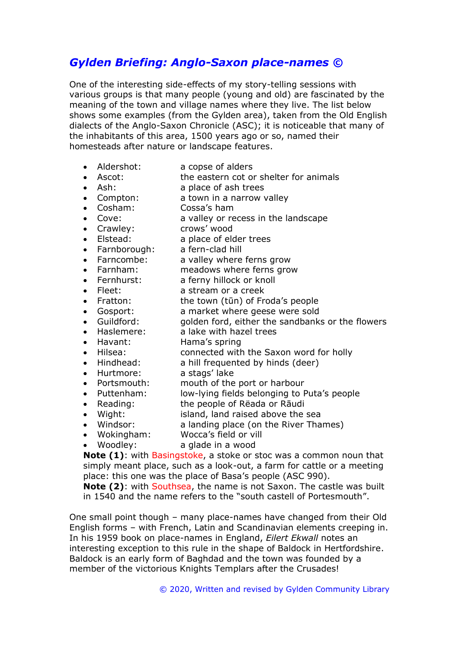# *Gylden Briefing: Anglo-Saxon place-names ©*

One of the interesting side-effects of my story-telling sessions with various groups is that many people (young and old) are fascinated by the meaning of the town and village names where they live. The list below shows some examples (from the Gylden area), taken from the Old English dialects of the Anglo-Saxon Chronicle (ASC); it is noticeable that many of the inhabitants of this area, 1500 years ago or so, named their homesteads after nature or landscape features.

- Aldershot: a copse of alders
- Ascot: the eastern cot or shelter for animals
- Ash: a place of ash trees
- Compton: a town in a narrow valley
- Cosham: Cossa's ham
- Cove: a valley or recess in the landscape
- Crawley: crows' wood
- 
- Elstead: a place of elder trees • Elseburn<br>• Farnborough: a fern-clad hill<br>• Farncombe: a valley where
- 
- a valley where ferns grow
- Farnham: meadows where ferns grow
- Fernhurst: a ferny hillock or knoll
- Fleet: a stream or a creek
- Fratton: the town (tūn) of Froda's people
	- Gosport: a market where geese were sold
	- Guildford: golden ford, either the sandbanks or the flowers
- Haslemere: a lake with hazel trees
- Havant: Hama's spring
- Hilsea: connected with the Saxon word for holly
	- Hindhead: a hill frequented by hinds (deer)
- Hurtmore: a stags' lake
- Portsmouth: mouth of the port or harbour
- Puttenham: low-lying fields belonging to Puta's people
- Reading: the people of Rëada or Rāudi
- Wight: island, land raised above the sea
- Windsor: a landing place (on the River Thames)
- Wokingham: Wocca's field or vill
- Woodley: a glade in a wood

**Note (1)**: with Basingstoke, a stoke or stoc was a common noun that simply meant place, such as a look-out, a farm for cattle or a meeting place: this one was the place of Basa's people (ASC 990).

**Note (2)**: with Southsea, the name is not Saxon. The castle was built in 1540 and the name refers to the "south castell of Portesmouth".

One small point though – many place-names have changed from their Old English forms – with French, Latin and Scandinavian elements creeping in. In his 1959 book on place-names in England, *Eilert Ekwall* notes an interesting exception to this rule in the shape of Baldock in Hertfordshire. Baldock is an early form of Baghdad and the town was founded by a member of the victorious Knights Templars after the Crusades!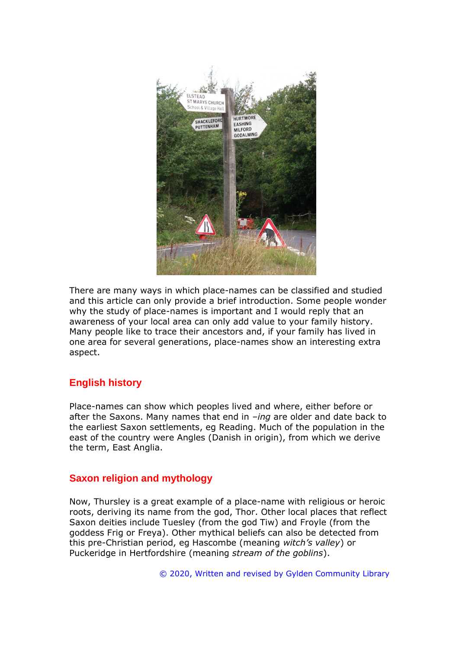

There are many ways in which place-names can be classified and studied and this article can only provide a brief introduction. Some people wonder why the study of place-names is important and I would reply that an awareness of your local area can only add value to your family history. Many people like to trace their ancestors and, if your family has lived in one area for several generations, place-names show an interesting extra aspect.

# **English history**

Place-names can show which peoples lived and where, either before or after the Saxons. Many names that end in *–ing* are older and date back to the earliest Saxon settlements, eg Reading. Much of the population in the east of the country were Angles (Danish in origin), from which we derive the term, East Anglia.

## **Saxon religion and mythology**

Now, Thursley is a great example of a place-name with religious or heroic roots, deriving its name from the god, Thor. Other local places that reflect Saxon deities include Tuesley (from the god Tiw) and Froyle (from the goddess Frig or Freya). Other mythical beliefs can also be detected from this pre-Christian period, eg Hascombe (meaning *witch's valley*) or Puckeridge in Hertfordshire (meaning *stream of the goblins*).

© 2020, Written and revised by Gylden Community Library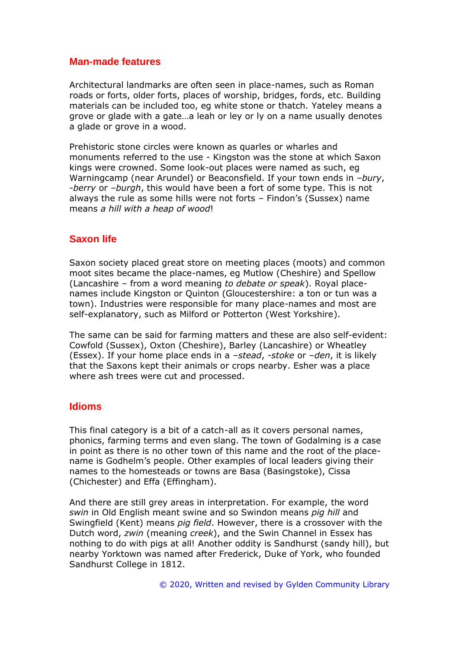#### **Man-made features**

Architectural landmarks are often seen in place-names, such as Roman roads or forts, older forts, places of worship, bridges, fords, etc. Building materials can be included too, eg white stone or thatch. Yateley means a grove or glade with a gate…a leah or ley or ly on a name usually denotes a glade or grove in a wood.

Prehistoric stone circles were known as quarles or wharles and monuments referred to the use - Kingston was the stone at which Saxon kings were crowned. Some look-out places were named as such, eg Warningcamp (near Arundel) or Beaconsfield. If your town ends in *–bury*, *-berry* or *–burgh*, this would have been a fort of some type. This is not always the rule as some hills were not forts – Findon's (Sussex) name means *a hill with a heap of wood*!

## **Saxon life**

Saxon society placed great store on meeting places (moots) and common moot sites became the place-names, eg Mutlow (Cheshire) and Spellow (Lancashire – from a word meaning *to debate or speak*). Royal placenames include Kingston or Quinton (Gloucestershire: a ton or tun was a town). Industries were responsible for many place-names and most are self-explanatory, such as Milford or Potterton (West Yorkshire).

The same can be said for farming matters and these are also self-evident: Cowfold (Sussex), Oxton (Cheshire), Barley (Lancashire) or Wheatley (Essex). If your home place ends in a *–stead*, *-stoke* or *–den*, it is likely that the Saxons kept their animals or crops nearby. Esher was a place where ash trees were cut and processed.

#### **Idioms**

This final category is a bit of a catch-all as it covers personal names, phonics, farming terms and even slang. The town of Godalming is a case in point as there is no other town of this name and the root of the placename is Godhelm's people. Other examples of local leaders giving their names to the homesteads or towns are Basa (Basingstoke), Cissa (Chichester) and Effa (Effingham).

And there are still grey areas in interpretation. For example, the word *swin* in Old English meant swine and so Swindon means *pig hill* and Swingfield (Kent) means *pig field*. However, there is a crossover with the Dutch word, *zwin* (meaning *creek*), and the Swin Channel in Essex has nothing to do with pigs at all! Another oddity is Sandhurst (sandy hill), but nearby Yorktown was named after Frederick, Duke of York, who founded Sandhurst College in 1812.